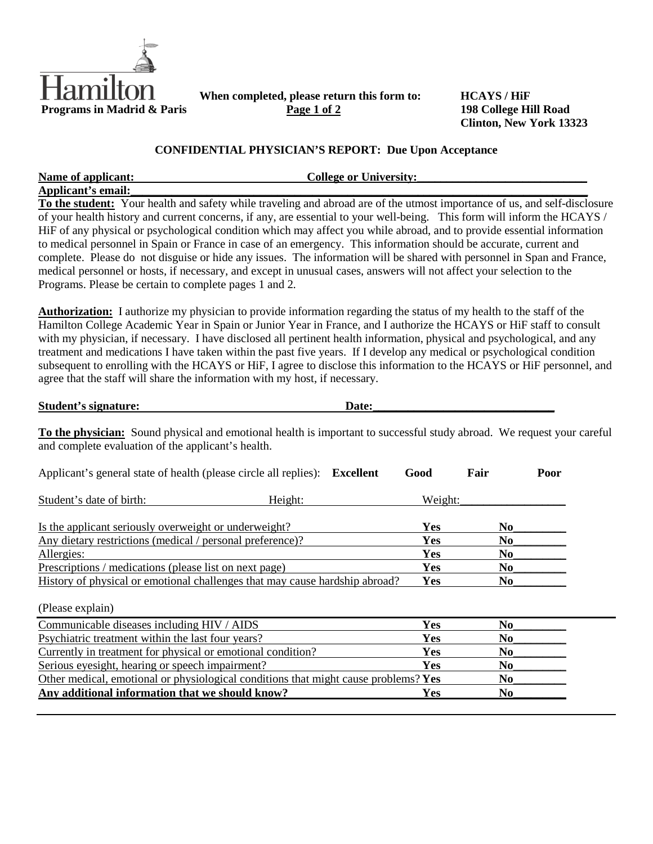

When completed, please return this form to: **HCAYS / HiF Programs in Madrid & Paris Page 1 of 2 198 College Hill Road** 

**Clinton, New York 13323**

## **CONFIDENTIAL PHYSICIAN'S REPORT: Due Upon Acceptance**

| Name of applicant:                                     | <b>College or University:</b>                                                                                               |
|--------------------------------------------------------|-----------------------------------------------------------------------------------------------------------------------------|
| Applicant's email:                                     |                                                                                                                             |
|                                                        | To the student: Your health and safety while traveling and abroad are of the utmost importance of us, and self-disclosure   |
|                                                        | of your health history and current concerns, if any, are essential to your well-being. This form will inform the HCAYS /    |
|                                                        | HiF of any physical or psychological condition which may affect you while abroad, and to provide essential information      |
|                                                        | to medical personnel in Spain or France in case of an emergency. This information should be accurate, current and           |
|                                                        | complete. Please do not disguise or hide any issues. The information will be shared with personnel in Span and France,      |
|                                                        | medical personnel or hosts, if necessary, and except in unusual cases, answers will not affect your selection to the        |
| Programs. Please be certain to complete pages 1 and 2. |                                                                                                                             |
|                                                        |                                                                                                                             |
|                                                        | <b>Authorization:</b> I authorize my physician to provide information regarding the status of my health to the staff of the |
|                                                        | Hamilton College Academic Year in Spain or Junior Year in France, and I authorize the HCAYS or HiF staff to consult         |
|                                                        | with my physician, if necessary. I have disclosed all pertinent health information, physical and psychological, and any     |
|                                                        | treatment and medications I have taken within the past five years. If I develop any medical or psychological condition      |
|                                                        | subsequent to enrolling with the HCAYS or HiF, I agree to disclose this information to the HCAYS or HiF personnel, and      |

agree that the staff will share the information with my host, if necessary.

**Student's signature:** Date:

**To the physician:** Sound physical and emotional health is important to successful study abroad. We request your careful and complete evaluation of the applicant's health.

| Applicant's general state of health (please circle all replies): Excellent          |         | Good    | Fair           | Poor |
|-------------------------------------------------------------------------------------|---------|---------|----------------|------|
| Student's date of birth:                                                            | Height: | Weight: |                |      |
| Is the applicant seriously overweight or underweight?                               |         | Yes     | No             |      |
| Any dietary restrictions (medical / personal preference)?                           |         | Yes     | N <sub>0</sub> |      |
| Allergies:                                                                          |         | Yes     | N <sub>0</sub> |      |
| Prescriptions / medications (please list on next page)                              |         | Yes     | No             |      |
| History of physical or emotional challenges that may cause hardship abroad?         |         | Yes     | N <sub>0</sub> |      |
| (Please explain)                                                                    |         |         |                |      |
| Communicable diseases including HIV / AIDS                                          |         | Yes     | N <sub>0</sub> |      |
| Psychiatric treatment within the last four years?                                   |         | Yes     | N <sub>0</sub> |      |
| Currently in treatment for physical or emotional condition?                         |         | Yes     | N <sub>0</sub> |      |
| Serious eyesight, hearing or speech impairment?                                     |         | Yes     | No             |      |
| Other medical, emotional or physiological conditions that might cause problems? Yes |         |         | N <sub>0</sub> |      |
| Any additional information that we should know?                                     |         | Yes     | N <sub>0</sub> |      |